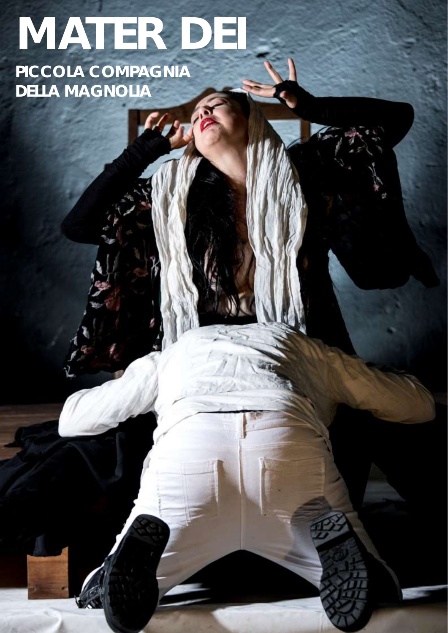## **MATER DEI PICCOLA COMPAGNIA DELLA MAGNOLIA**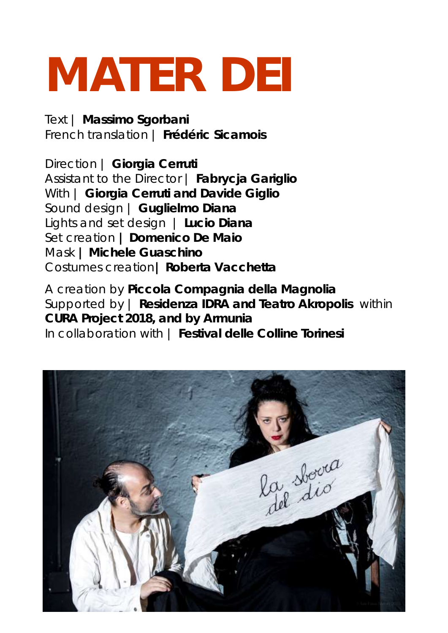# **MATER DEI**

Text | **Massimo Sgorbani** French translation | **Frédéric Sicamois**

Direction | **Giorgia Cerruti** Assistant to the Director | **Fabrycja Gariglio**  With | **Giorgia Cerruti and Davide Giglio** Sound design | **Guglielmo Diana** Lights and set design | **Lucio Diana** Set creation **| Domenico De Maio** Mask **| Michele Guaschino** Costumes creation**| Roberta Vacchetta**

A creation by **Piccola Compagnia della Magnolia** Supported by | **Residenza IDRA and Teatro Akropolis** within **CURA Project 2018, and by Armunia**  In collaboration with | **Festival delle Colline Torinesi** 

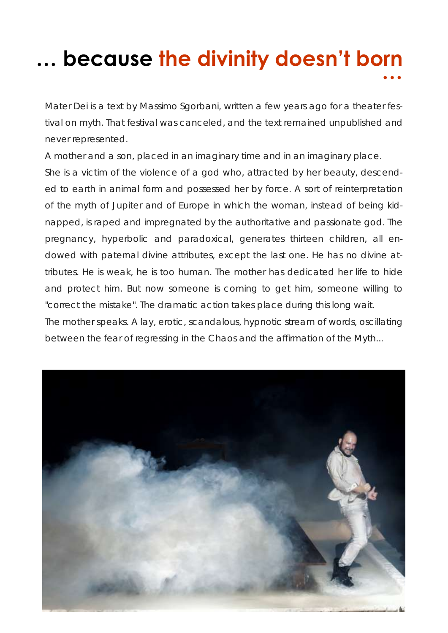# **… because the divinity doesn't born …**

Mater Dei is a text by Massimo Sgorbani, written a few years ago for a theater festival on myth. That festival was canceled, and the text remained unpublished and never represented.

A mother and a son, placed in an imaginary time and in an imaginary place. She is a victim of the violence of a god who, attracted by her beauty, descended to earth in animal form and possessed her by force. A sort of reinterpretation of the myth of Jupiter and of Europe in which the woman, instead of being kidnapped, is raped and impregnated by the authoritative and passionate god. The pregnancy, hyperbolic and paradoxical, generates thirteen children, all endowed with paternal divine attributes, except the last one. He has no divine attributes. He is weak, he is too human. The mother has dedicated her life to hide and protect him. But now someone is coming to get him, someone willing to "correct the mistake". The dramatic action takes place during this long wait. The mother speaks. A lay, erotic, scandalous, hypnotic stream of words, oscillating



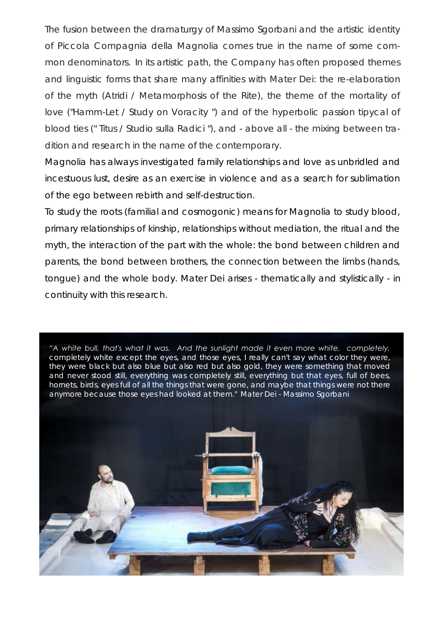The fusion between the dramaturgy of Massimo Sgorbani and the artistic identity of Piccola Compagnia della Magnolia comes true in the name of some common denominators. In its artistic path, the Company has often proposed themes and linguistic forms that share many affinities with Mater Dei: the re-elaboration of the myth (Atridi / Metamorphosis of the Rite), the theme of the mortality of love ("Hamm-Let / Study on Voracity ") and of the hyperbolic passion tipycal of blood ties (" Titus / Studio sulla Radici "), and - above all - the mixing between tradition and research in the name of the contemporary.

Magnolia has always investigated family relationships and love as unbridled and incestuous lust, desire as an exercise in violence and as a search for sublimation of the ego between rebirth and self-destruction.

To study the roots (familial and cosmogonic) means for Magnolia to study blood, primary relationships of kinship, relationships without mediation, the ritual and the myth, the interaction of the part with the whole: the bond between children and parents, the bond between brothers, the connection between the limbs (hands, tongue) and the whole body. Mater Dei arises - thematically and stylistically - in continuity with this research.

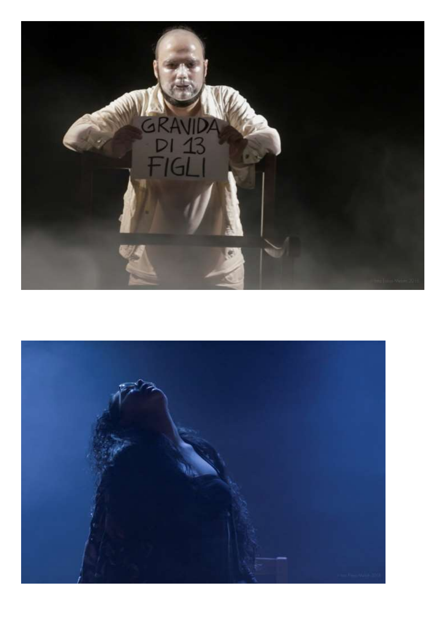

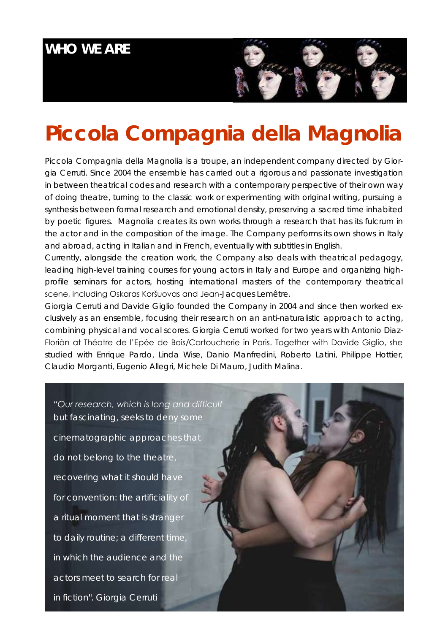#### **WHO WE ARE**

## **Piccola Compagnia della Magnolia**

Piccola Compagnia della Magnolia is a troupe, an independent company directed by Giorgia Cerruti. Since 2004 the ensemble has carried out a rigorous and passionate investigation in between theatrical codes and research with a contemporary perspective of their own way of doing theatre, turning to the classic work or experimenting with original writing, pursuing a synthesis between formal research and emotional density, preserving a sacred time inhabited by poetic figures. Magnolia creates its own works through a research that has its fulcrum in the actor and in the composition of the image. The Company performs its own shows in Italy and abroad, acting in Italian and in French, eventually with subtitles in English.

Currently, alongside the creation work, the Company also deals with theatrical pedagogy, leading high-level training courses for young actors in Italy and Europe and organizing highprofile seminars for actors, hosting international masters of the contemporary theatrical scene, including Oskaras Koršuovas and Jean-Jacques Lemêtre.

Giorgia Cerruti and Davide Giglio founded the Company in 2004 and since then worked exclusively as an ensemble, focusing their research on an anti-naturalistic approach to acting, combining physical and vocal scores. Giorgia Cerruti worked for two years with Antonio Diaz-Floriàn at Théatre de l'Epée de Bois/Cartoucherie in Paris. Together with Davide Giglio, she studied with Enrique Pardo, Linda Wise, Danio Manfredini, Roberto Latini, Philippe Hottier, Claudio Morganti, Eugenio Allegri, Michele Di Mauro, Judith Malina.

*"Our research, which is long and difficult but fascinating, seeks to deny some cinematographic approaches that do not belong to the theatre, recovering what it should have for convention: the artificiality of a ritual moment that is stranger to daily routine; a different time, in which the audience and the actors meet to search for real in fiction". Giorgia Cerruti*

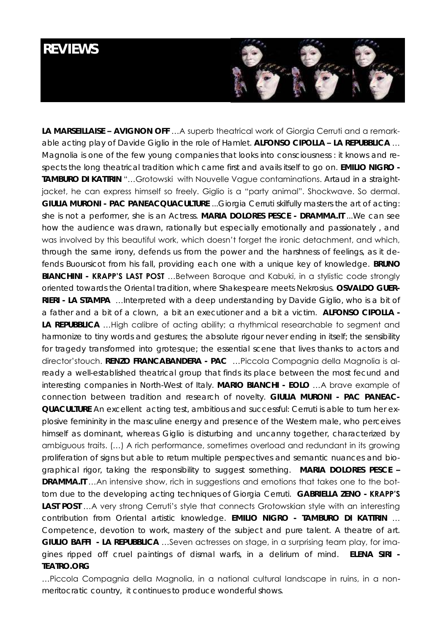#### **REVIEWS**



**LA MARSEILLAISE – AVIGNON OFF** …A superb theatrical work of Giorgia Cerruti and a remarkable acting play of Davide Giglio in the role of Hamlet. **ALFONSO CIPOLLA – LA REPUBBLICA** … Magnolia is one of the few young companies that looks into consciousness : it knows and respects the long theatrical tradition which came first and avails itself to go on. **EMILIO NIGRO - TAMBURO DI KATTRIN** "…Grotowski with Nouvelle Vague contaminations. Artaud in a straightjacket, he can express himself so freely. Giglio is a "party animal". Shockwave. So dermal. **GIULIA MURONI - PAC PANEACQUACULTURE** ...Giorgia Cerruti skilfully masters the art of acting: she is not a performer, she is an Actress. **MARIA DOLORES PESCE - DRAMMA.IT** ...We can see how the audience was drawn, rationally but especially emotionally and passionately , and was involved by this beautiful work, which doesn't forget the ironic detachment, and which, through the same irony, defends us from the power and the harshness of feelings, as it defends Buoursicot from his fall, providing each one with a unique key of knowledge. **BRUNO BIANCHINI - KRAPP'S LAST POST** …Between Baroque and Kabuki, in a stylistic code strongly oriented towards the Oriental tradition, where Shakespeare meets Nekrosius. **OSVALDO GUER-RIERI - LA STAMPA** …Interpreted with a deep understanding by Davide Giglio, who is a bit of a father and a bit of a clown, a bit an executioner and a bit a victim. **ALFONSO CIPOLLA - LA REPUBBLICA** …High calibre of acting ability; a rhythmical researchable to segment and harmonize to tiny words and gestures; the absolute rigour never ending in itself; the sensibility for tragedy transformed into grotesque; the essential scene that lives thanks to actors and director'stouch. **RENZO FRANCABANDERA - PAC** …Piccola Compagnia della Magnolia is already a well-established theatrical group that finds its place between the most fecund and interesting companies in North-West of Italy. **MARIO BIANCHI - EOLO** …A brave example of connection between tradition and research of novelty. **GIULIA MURONI - PAC PANEAC-QUACULTURE** An excellent acting test, ambitious and successful: Cerruti is able to turn her explosive femininity in the masculine energy and presence of the Western male, who perceives himself as dominant, whereas Giglio is disturbing and uncanny together, characterized by ambiguous traits. (…) A rich performance, sometimes overload and redundant in its growing proliferation of signs but able to return multiple perspectives and semantic nuances and biographical rigor, taking the responsibility to suggest something. **MARIA DOLORES PESCE – DRAMMA.IT** …An intensive show, rich in suggestions and emotions that takes one to the bottom due to the developing acting techniques of Giorgia Cerruti. **GABRIELLA ZENO - KRAPP'S LAST POST** …A very strong Cerruti's style that connects Grotowskian style with an interesting contribution from Oriental artistic knowledge. **EMILIO NIGRO - TAMBURO DI KATTRIN** … Competence, devotion to work, mastery of the subject and pure talent. A theatre of art. **GIULIO BAFFI - LA REPUBBLICA** …Seven actresses on stage, in a surprising team play, for imagines ripped off cruel paintings of dismal warfs, in a delirium of mind. **ELENA SIRI - TEATRO.ORG** 

…Piccola Compagnia della Magnolia, in a national cultural landscape in ruins, in a nonmeritocratic country, it continues to produce wonderful shows.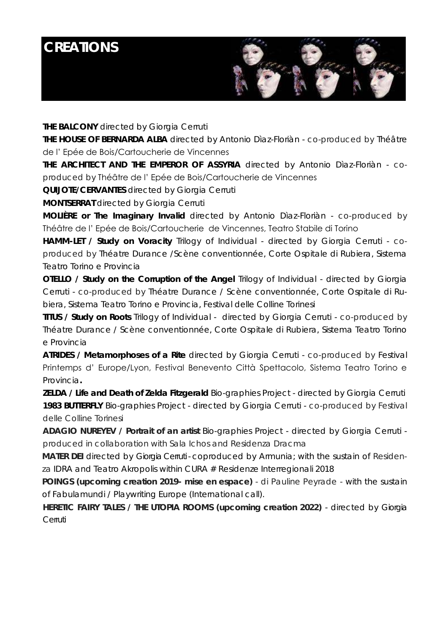#### **CREATIONS**



**THE BALCONY** directed by Giorgia Cerruti

**THE HOUSE OF BERNARDA ALBA** directed by Antonio Dìaz-Floriàn - co-produced by Théâtre de l' Epée de Bois/Cartoucherie de Vincennes

**THE ARCHITECT AND THE EMPEROR OF ASSYRIA** directed by Antonio Dìaz-Floriàn - coproduced by Théâtre de l' Epée de Bois/Cartoucherie de Vincennes

**QUIJOTE/CERVANTES** directed by Giorgia Cerruti

**MONTSERRAT** directed by Giorgia Cerruti

**MOLIÈRE or The Imaginary Invalid** directed by Antonio Dìaz-Floriàn - co-produced by Théâtre de l' Epée de Bois/Cartoucherie de Vincennes, Teatro Stabile di Torino

**HAMM-LET / Study on Voracity** Trilogy of Individual - directed by Giorgia Cerruti - coproduced by Théatre Durance /Scène conventionnée, Corte Ospitale di Rubiera, Sistema Teatro Torino e Provincia

**OTELLO / Study on the Corruption of the Angel** Trilogy of Individual - directed by Giorgia Cerruti - co-produced by Théatre Durance / Scène conventionnée, Corte Ospitale di Rubiera, Sistema Teatro Torino e Provincia, Festival delle Colline Torinesi

**TITUS / Study on Roots** Trilogy of Individual - directed by Giorgia Cerruti - co-produced by Théatre Durance / Scène conventionnée, Corte Ospitale di Rubiera, Sistema Teatro Torino e Provincia

**ATRIDES / Metamorphoses of a Rite** directed by Giorgia Cerruti - co-produced by Festival Printemps d' Europe/Lyon, Festival Benevento Città Spettacolo, Sistema Teatro Torino e Provincia**.**

**ZELDA / Life and Death of Zelda Fitzgerald** Bio-graphies Project - directed by Giorgia Cerruti **1983 BUTTERFLY** Bio-graphies Project - directed by Giorgia Cerruti - co-produced by Festival delle Colline Torinesi

**ADAGIO NUREYEV / Portrait of an artist** Bio-graphies Project - directed by Giorgia Cerruti produced in collaboration with Sala Ichos and Residenza Dracma

**MATER DEI** directed by Giorgia Cerruti -coproduced by Armunia; with the sustain of Residenza IDRA and Teatro Akropolis within CURA # Residenze Interregionali 2018

**POINGS (upcoming creation 2019- mise en espace)** - di Pauline Peyrade - with the sustain of Fabulamundi / Playwriting Europe (International call).

**HERETIC FAIRY TALES / THE UTOPIA ROOMS (upcoming creation 2022)** - directed by Giorgia **Cerruti**